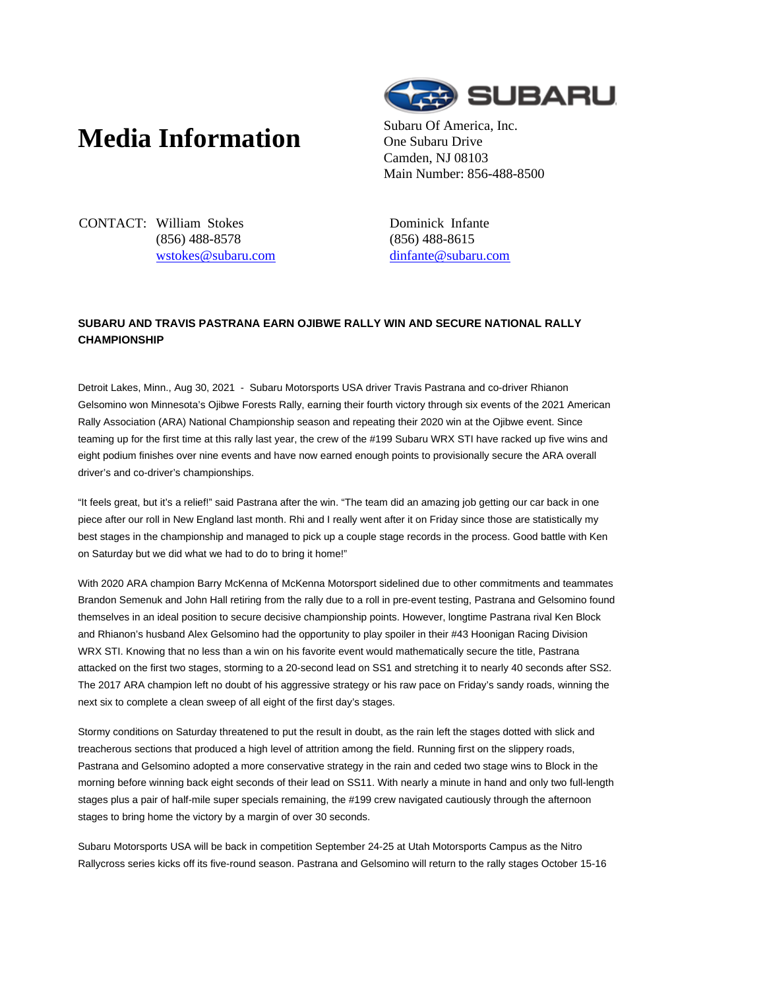## **Media Information** Subaru Of America, Inc.



One Subaru Drive Camden, NJ 08103 Main Number: 856-488-8500

CONTACT: William Stokes (856) 488-8578 wstokes@subaru.com Dominick Infante (856) 488-8615 dinfante@subaru.com

## **SUBARU AND TRAVIS PASTRANA EARN OJIBWE RALLY WIN AND SECURE NATIONAL RALLY CHAMPIONSHIP**

Detroit Lakes, Minn., Aug 30, 2021 - Subaru Motorsports USA driver Travis Pastrana and co-driver Rhianon Gelsomino won Minnesota's Ojibwe Forests Rally, earning their fourth victory through six events of the 2021 American Rally Association (ARA) National Championship season and repeating their 2020 win at the Ojibwe event. Since teaming up for the first time at this rally last year, the crew of the #199 Subaru WRX STI have racked up five wins and eight podium finishes over nine events and have now earned enough points to provisionally secure the ARA overall driver's and co-driver's championships.

"It feels great, but it's a relief!" said Pastrana after the win. "The team did an amazing job getting our car back in one piece after our roll in New England last month. Rhi and I really went after it on Friday since those are statistically my best stages in the championship and managed to pick up a couple stage records in the process. Good battle with Ken on Saturday but we did what we had to do to bring it home!"

With 2020 ARA champion Barry McKenna of McKenna Motorsport sidelined due to other commitments and teammates Brandon Semenuk and John Hall retiring from the rally due to a roll in pre-event testing, Pastrana and Gelsomino found themselves in an ideal position to secure decisive championship points. However, longtime Pastrana rival Ken Block and Rhianon's husband Alex Gelsomino had the opportunity to play spoiler in their #43 Hoonigan Racing Division WRX STI. Knowing that no less than a win on his favorite event would mathematically secure the title, Pastrana attacked on the first two stages, storming to a 20-second lead on SS1 and stretching it to nearly 40 seconds after SS2. The 2017 ARA champion left no doubt of his aggressive strategy or his raw pace on Friday's sandy roads, winning the next six to complete a clean sweep of all eight of the first day's stages.

Stormy conditions on Saturday threatened to put the result in doubt, as the rain left the stages dotted with slick and treacherous sections that produced a high level of attrition among the field. Running first on the slippery roads, Pastrana and Gelsomino adopted a more conservative strategy in the rain and ceded two stage wins to Block in the morning before winning back eight seconds of their lead on SS11. With nearly a minute in hand and only two full-length stages plus a pair of half-mile super specials remaining, the #199 crew navigated cautiously through the afternoon stages to bring home the victory by a margin of over 30 seconds.

Subaru Motorsports USA will be back in competition September 24-25 at Utah Motorsports Campus as the Nitro Rallycross series kicks off its five-round season. Pastrana and Gelsomino will return to the rally stages October 15-16